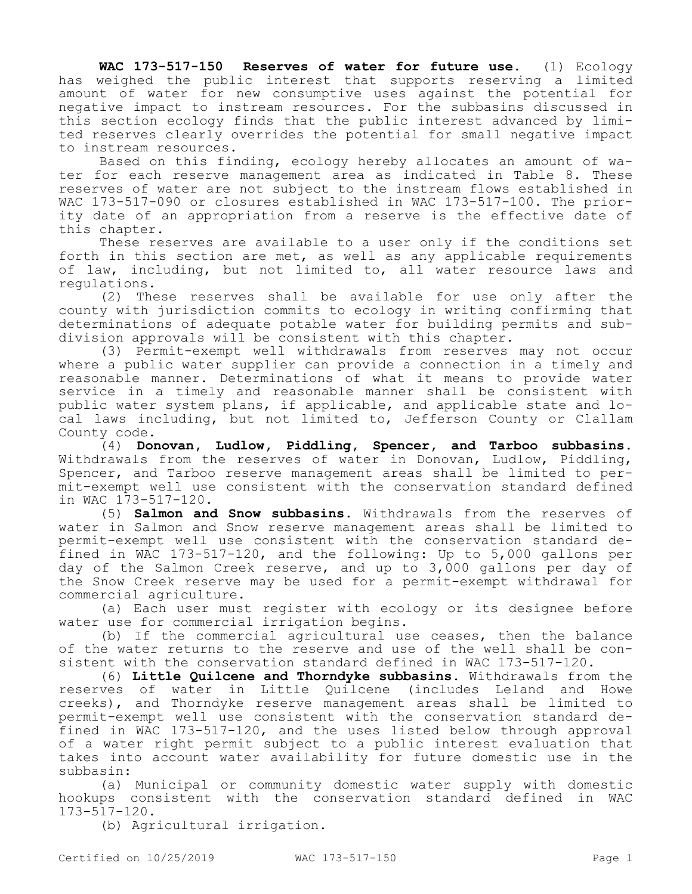**WAC 173-517-150 Reserves of water for future use.** (1) Ecology has weighed the public interest that supports reserving a limited amount of water for new consumptive uses against the potential for negative impact to instream resources. For the subbasins discussed in this section ecology finds that the public interest advanced by limited reserves clearly overrides the potential for small negative impact to instream resources.

Based on this finding, ecology hereby allocates an amount of water for each reserve management area as indicated in Table 8. These reserves of water are not subject to the instream flows established in WAC 173-517-090 or closures established in WAC 173-517-100. The priority date of an appropriation from a reserve is the effective date of this chapter.

These reserves are available to a user only if the conditions set forth in this section are met, as well as any applicable requirements of law, including, but not limited to, all water resource laws and

regulations.<br>(2) The These reserves shall be available for use only after the county with jurisdiction commits to ecology in writing confirming that determinations of adequate potable water for building permits and subdivision approvals will be consistent with this chapter.

(3) Permit-exempt well withdrawals from reserves may not occur where a public water supplier can provide a connection in a timely and reasonable manner. Determinations of what it means to provide water service in a timely and reasonable manner shall be consistent with public water system plans, if applicable, and applicable state and local laws including, but not limited to, Jefferson County or Clallam County code.

(4) **Donovan, Ludlow, Piddling, Spencer, and Tarboo subbasins.**  Withdrawals from the reserves of water in Donovan, Ludlow, Piddling, Spencer, and Tarboo reserve management areas shall be limited to permit-exempt well use consistent with the conservation standard defined in WAC 173-517-120.

(5) **Salmon and Snow subbasins.** Withdrawals from the reserves of water in Salmon and Snow reserve management areas shall be limited to permit-exempt well use consistent with the conservation standard defined in WAC 173-517-120, and the following: Up to 5,000 gallons per day of the Salmon Creek reserve, and up to 3,000 gallons per day of the Snow Creek reserve may be used for a permit-exempt withdrawal for commercial agriculture.

(a) Each user must register with ecology or its designee before water use for commercial irrigation begins.

(b) If the commercial agricultural use ceases, then the balance of the water returns to the reserve and use of the well shall be consistent with the conservation standard defined in WAC 173-517-120.

(6) **Little Quilcene and Thorndyke subbasins.** Withdrawals from the reserves of water in Little Quilcene (includes Leland and Howe creeks), and Thorndyke reserve management areas shall be limited to permit-exempt well use consistent with the conservation standard defined in WAC 173-517-120, and the uses listed below through approval of a water right permit subject to a public interest evaluation that takes into account water availability for future domestic use in the subbasin:

(a) Municipal or community domestic water supply with domestic hookups consistent with the conservation standard defined in WAC 173-517-120.

(b) Agricultural irrigation.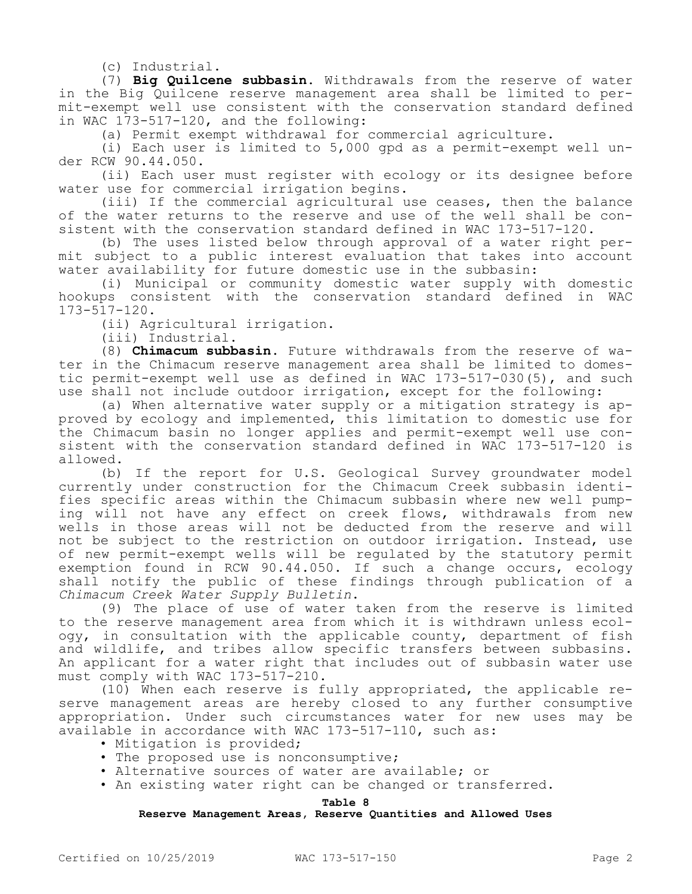(c) Industrial.

(7) **Big Quilcene subbasin.** Withdrawals from the reserve of water in the Big Quilcene reserve management area shall be limited to permit-exempt well use consistent with the conservation standard defined in WAC 173-517-120, and the following:

(a) Permit exempt withdrawal for commercial agriculture.

(i) Each user is limited to 5,000 gpd as a permit-exempt well under RCW 90.44.050.

(ii) Each user must register with ecology or its designee before water use for commercial irrigation begins.

(iii) If the commercial agricultural use ceases, then the balance of the water returns to the reserve and use of the well shall be consistent with the conservation standard defined in WAC 173-517-120.

(b) The uses listed below through approval of a water right permit subject to a public interest evaluation that takes into account water availability for future domestic use in the subbasin:

(i) Municipal or community domestic water supply with domestic hookups consistent with the conservation standard defined in WAC 173-517-120.

(ii) Agricultural irrigation.

(iii) Industrial.

(8) **Chimacum subbasin.** Future withdrawals from the reserve of water in the Chimacum reserve management area shall be limited to domestic permit-exempt well use as defined in WAC 173-517-030(5), and such use shall not include outdoor irrigation, except for the following:

(a) When alternative water supply or a mitigation strategy is approved by ecology and implemented, this limitation to domestic use for the Chimacum basin no longer applies and permit-exempt well use consistent with the conservation standard defined in WAC 173-517-120 is allowed.

(b) If the report for U.S. Geological Survey groundwater model currently under construction for the Chimacum Creek subbasin identifies specific areas within the Chimacum subbasin where new well pumping will not have any effect on creek flows, withdrawals from new wells in those areas will not be deducted from the reserve and will not be subject to the restriction on outdoor irrigation. Instead, use of new permit-exempt wells will be regulated by the statutory permit exemption found in RCW 90.44.050. If such a change occurs, ecology shall notify the public of these findings through publication of a *Chimacum Creek Water Supply Bulletin*.

(9) The place of use of water taken from the reserve is limited to the reserve management area from which it is withdrawn unless ecology, in consultation with the applicable county, department of fish and wildlife, and tribes allow specific transfers between subbasins. An applicant for a water right that includes out of subbasin water use must comply with WAC 173-517-210.

(10) When each reserve is fully appropriated, the applicable reserve management areas are hereby closed to any further consumptive appropriation. Under such circumstances water for new uses may be available in accordance with WAC 173-517-110, such as:

• Mitigation is provided;

- The proposed use is nonconsumptive;
- Alternative sources of water are available; or

• An existing water right can be changed or transferred.

**Table 8**

## **Reserve Management Areas, Reserve Quantities and Allowed Uses**